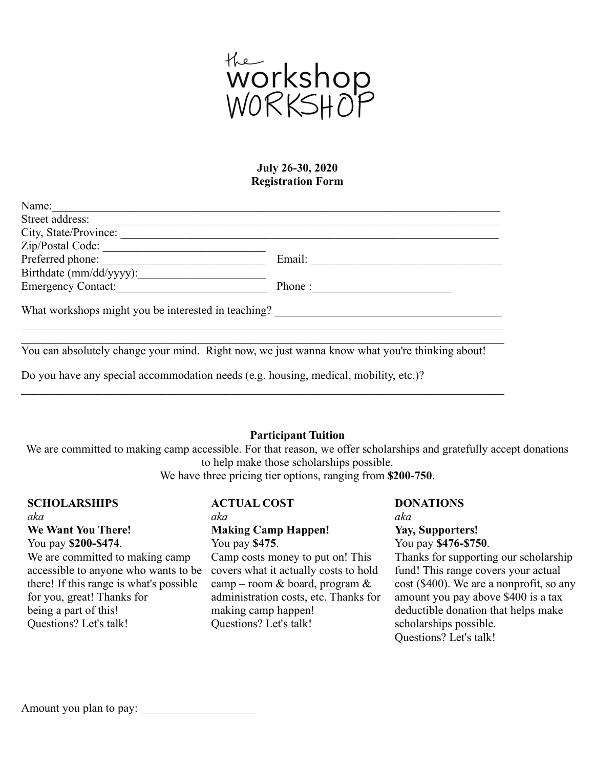

### **July 26-30, 2020 Registration Form**

| Name:                                               |        |
|-----------------------------------------------------|--------|
| Street address:                                     |        |
| City, State/Province:                               |        |
| Zip/Postal Code:                                    |        |
| Preferred phone:                                    | Email: |
| Birthdate (mm/dd/yyyy):                             |        |
| <b>Emergency Contact:</b>                           | Phone: |
| What workshops might you be interested in teaching? |        |
|                                                     |        |

You can absolutely change your mind. Right now, we just wanna know what you're thinking about!

 $\_$  , and the contribution of the contribution of the contribution of the contribution of  $\mathcal{L}_\text{max}$ 

 $\_$  , and the contribution of the contribution of the contribution of the contribution of  $\mathcal{L}_\text{max}$ 

Do you have any special accommodation needs (e.g. housing, medical, mobility, etc.)?

# **Participant Tuition**

We are committed to making camp accessible. For that reason, we offer scholarships and gratefully accept donations to help make those scholarships possible.

We have three pricing tier options, ranging from **\$200-750**.

# **SCHOLARSHIPS** *aka* **We Want You There!** You pay **\$200-\$474**. We are committed to making camp

accessible to anyone who wants to be there! If this range is what's possible for you, great! Thanks for being a part of this! Questions? Let's talk!

# **ACTUAL COST**

#### *aka* **Making Camp Happen!** You pay **\$475**.

Camp costs money to put on! This covers what it actually costs to hold camp – room & board, program & administration costs, etc. Thanks for making camp happen! Questions? Let's talk!

## **DONATIONS** *aka* **Yay, Supporters!** You pay **\$476-\$750**. Thanks for supporting our scholarship fund! This range covers your actual cost (\$400). We are a nonprofit, so any amount you pay above \$400 is a tax deductible donation that helps make scholarships possible.

Questions? Let's talk!

Amount you plan to pay: \_\_\_\_\_\_\_\_\_\_\_\_\_\_\_\_\_\_\_\_